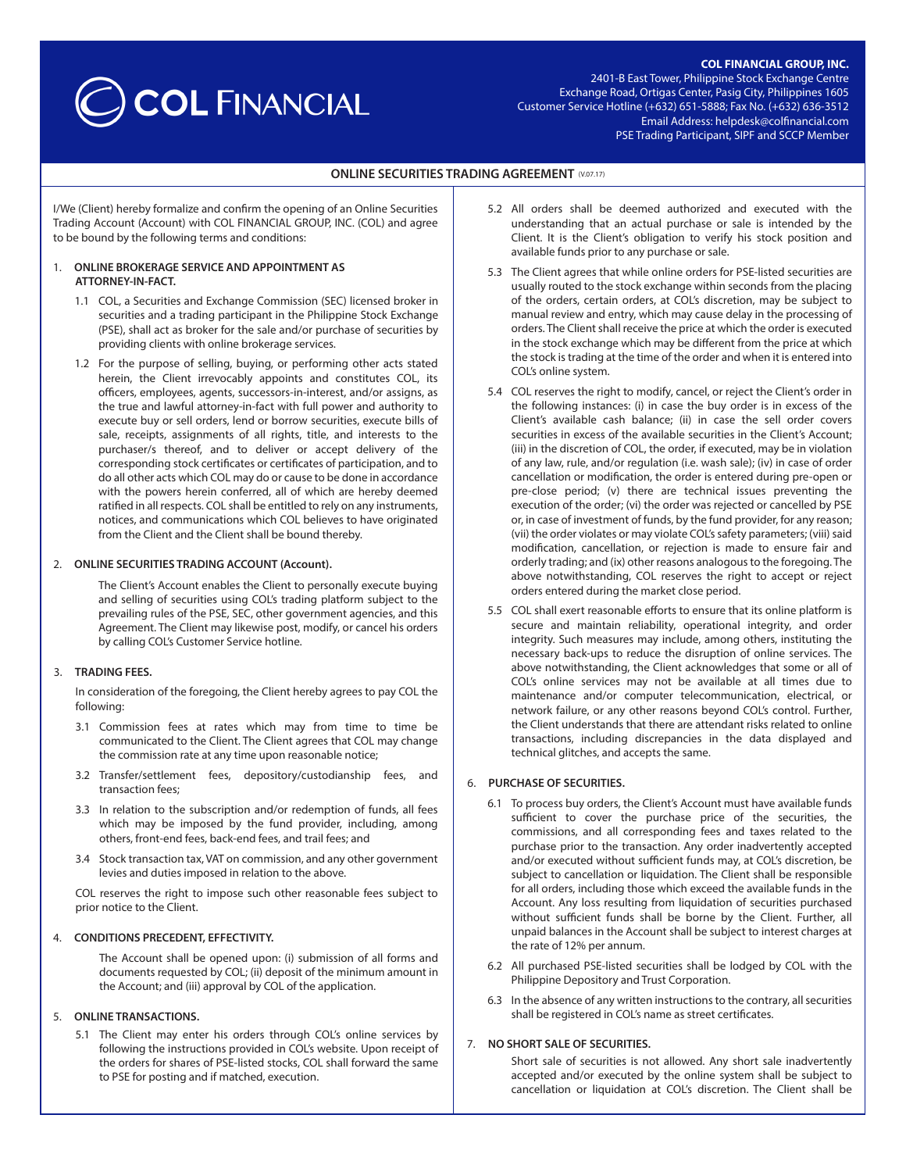## **COL FINANCIAL GROUP, INC.**

# COL FINANCIAL

2401-B East Tower, Philippine Stock Exchange Centre Exchange Road, Ortigas Center, Pasig City, Philippines 1605 Customer Service Hotline (+632) 651-5888; Fax No. (+632) 636-3512 Email Address: helpdesk@colfinancial.com PSE Trading Participant, SIPF and SCCP Member

## **ONLINE SECURITIES TRADING AGREEMENT (V.07.17)**

I/We (Client) hereby formalize and confirm the opening of an Online Securities Trading Account (Account) with COL FINANCIAL GROUP, INC. (COL) and agree to be bound by the following terms and conditions:

### 1. **ONLINE BROKERAGE SERVICE AND APPOINTMENT AS ATTORNEY-IN-FACT.**

- 1.1 COL, a Securities and Exchange Commission (SEC) licensed broker in securities and a trading participant in the Philippine Stock Exchange (PSE), shall act as broker for the sale and/or purchase of securities by providing clients with online brokerage services.
- 1.2 For the purpose of selling, buying, or performing other acts stated herein, the Client irrevocably appoints and constitutes COL, its officers, employees, agents, successors-in-interest, and/or assigns, as the true and lawful attorney-in-fact with full power and authority to execute buy or sell orders, lend or borrow securities, execute bills of sale, receipts, assignments of all rights, title, and interests to the purchaser/s thereof, and to deliver or accept delivery of the corresponding stock certificates or certificates of participation, and to do all other acts which COL may do or cause to be done in accordance with the powers herein conferred, all of which are hereby deemed ratified in all respects. COL shall be entitled to rely on any instruments, notices, and communications which COL believes to have originated from the Client and the Client shall be bound thereby.

## 2. **ONLINE SECURITIES TRADING ACCOUNT (Account).**

The Client's Account enables the Client to personally execute buying and selling of securities using COL's trading platform subject to the prevailing rules of the PSE, SEC, other government agencies, and this Agreement. The Client may likewise post, modify, or cancel his orders by calling COL's Customer Service hotline.

#### 3. **TRADING FEES.**

In consideration of the foregoing, the Client hereby agrees to pay COL the following:

- 3.1 Commission fees at rates which may from time to time be communicated to the Client. The Client agrees that COL may change the commission rate at any time upon reasonable notice;
- 3.2 Transfer/settlement fees, depository/custodianship fees, and transaction fees;
- 3.3 In relation to the subscription and/or redemption of funds, all fees which may be imposed by the fund provider, including, among others, front-end fees, back-end fees, and trail fees; and
- 3.4 Stock transaction tax, VAT on commission, and any other government levies and duties imposed in relation to the above.

COL reserves the right to impose such other reasonable fees subject to prior notice to the Client.

#### 4. **CONDITIONS PRECEDENT, EFFECTIVITY.**

The Account shall be opened upon: (i) submission of all forms and documents requested by COL; (ii) deposit of the minimum amount in the Account; and (iii) approval by COL of the application.

## 5. **ONLINE TRANSACTIONS.**

5.1 The Client may enter his orders through COL's online services by following the instructions provided in COL's website. Upon receipt of the orders for shares of PSE-listed stocks, COL shall forward the same to PSE for posting and if matched, execution.

- 5.2 All orders shall be deemed authorized and executed with the understanding that an actual purchase or sale is intended by the Client. It is the Client's obligation to verify his stock position and available funds prior to any purchase or sale.
- 5.3 The Client agrees that while online orders for PSE-listed securities are usually routed to the stock exchange within seconds from the placing of the orders, certain orders, at COL's discretion, may be subject to manual review and entry, which may cause delay in the processing of orders. The Client shall receive the price at which the order is executed in the stock exchange which may be different from the price at which the stock is trading at the time of the order and when it is entered into COL's online system.
- 5.4 COL reserves the right to modify, cancel, or reject the Client's order in the following instances: (i) in case the buy order is in excess of the Client's available cash balance; (ii) in case the sell order covers securities in excess of the available securities in the Client's Account; (iii) in the discretion of COL, the order, if executed, may be in violation of any law, rule, and/or regulation (i.e. wash sale); (iv) in case of order cancellation or modification, the order is entered during pre-open or pre-close period; (v) there are technical issues preventing the execution of the order; (vi) the order was rejected or cancelled by PSE or, in case of investment of funds, by the fund provider, for any reason; (vii) the order violates or may violate COL's safety parameters; (viii) said modification, cancellation, or rejection is made to ensure fair and orderly trading; and (ix) other reasons analogous to the foregoing. The above notwithstanding, COL reserves the right to accept or reject orders entered during the market close period.
- 5.5 COL shall exert reasonable efforts to ensure that its online platform is secure and maintain reliability, operational integrity, and order integrity. Such measures may include, among others, instituting the necessary back-ups to reduce the disruption of online services. The above notwithstanding, the Client acknowledges that some or all of COL's online services may not be available at all times due to maintenance and/or computer telecommunication, electrical, or network failure, or any other reasons beyond COL's control. Further, the Client understands that there are attendant risks related to online transactions, including discrepancies in the data displayed and technical glitches, and accepts the same.

## 6. **PURCHASE OF SECURITIES.**

- 6.1 To process buy orders, the Client's Account must have available funds sufficient to cover the purchase price of the securities, the commissions, and all corresponding fees and taxes related to the purchase prior to the transaction. Any order inadvertently accepted and/or executed without sufficient funds may, at COL's discretion, be subject to cancellation or liquidation. The Client shall be responsible for all orders, including those which exceed the available funds in the Account. Any loss resulting from liquidation of securities purchased without sufficient funds shall be borne by the Client. Further, all unpaid balances in the Account shall be subject to interest charges at the rate of 12% per annum.
- 6.2 All purchased PSE-listed securities shall be lodged by COL with the Philippine Depository and Trust Corporation.
- 6.3 In the absence of any written instructions to the contrary, all securities shall be registered in COL's name as street certificates.

## 7. **NO SHORT SALE OF SECURITIES.**

Short sale of securities is not allowed. Any short sale inadvertently accepted and/or executed by the online system shall be subject to cancellation or liquidation at COL's discretion. The Client shall be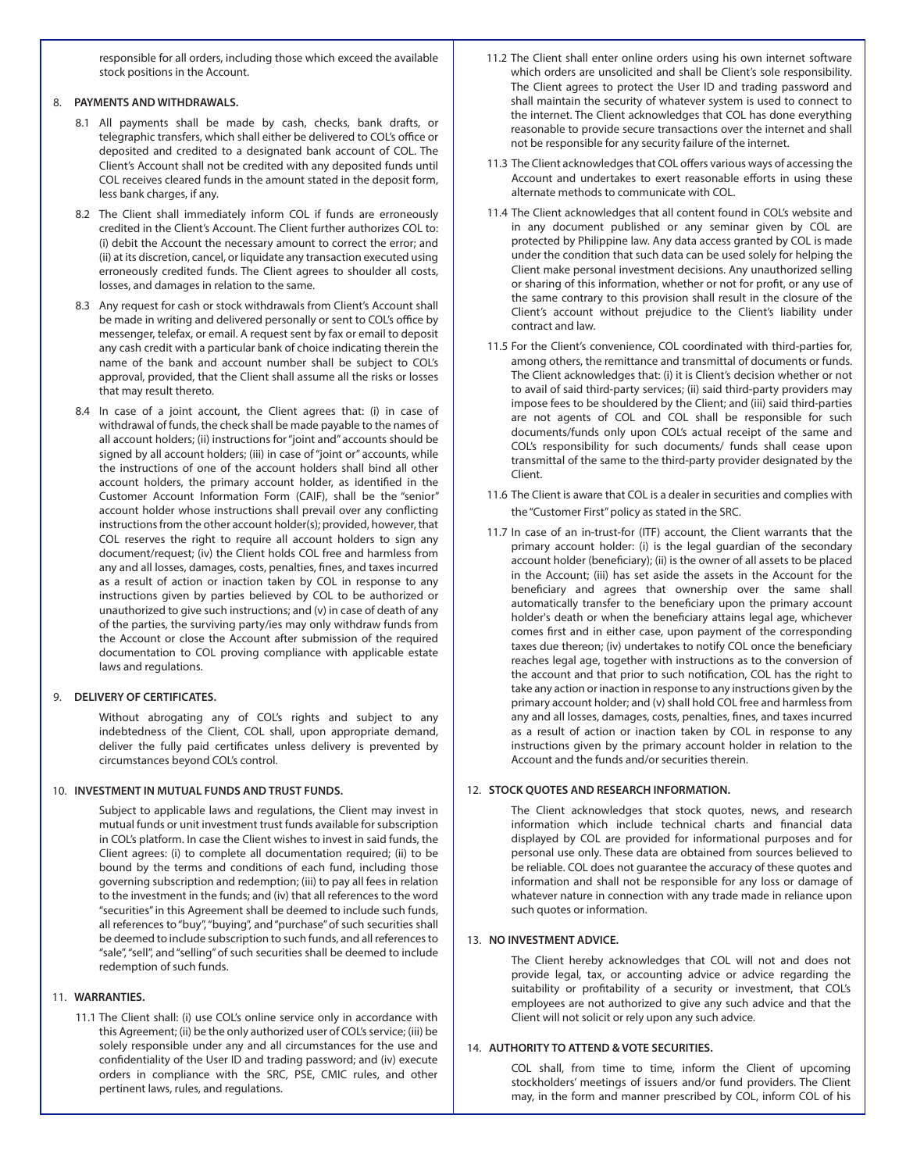responsible for all orders, including those which exceed the available stock positions in the Account.

## 8. **PAYMENTS AND WITHDRAWALS.**

- 8.1 All payments shall be made by cash, checks, bank drafts, or telegraphic transfers, which shall either be delivered to COL's office or deposited and credited to a designated bank account of COL. The Client's Account shall not be credited with any deposited funds until COL receives cleared funds in the amount stated in the deposit form, less bank charges, if any.
- 8.2 The Client shall immediately inform COL if funds are erroneously credited in the Client's Account. The Client further authorizes COL to: (i) debit the Account the necessary amount to correct the error; and (ii) at its discretion, cancel, or liquidate any transaction executed using erroneously credited funds. The Client agrees to shoulder all costs, losses, and damages in relation to the same.
- 8.3 Any request for cash or stock withdrawals from Client's Account shall be made in writing and delivered personally or sent to COL's office by messenger, telefax, or email. A request sent by fax or email to deposit any cash credit with a particular bank of choice indicating therein the name of the bank and account number shall be subject to COL's approval, provided, that the Client shall assume all the risks or losses that may result thereto.
- 8.4 In case of a joint account, the Client agrees that: (i) in case of withdrawal of funds, the check shall be made payable to the names of all account holders; (ii) instructions for "joint and" accounts should be signed by all account holders; (iii) in case of "joint or" accounts, while the instructions of one of the account holders shall bind all other account holders, the primary account holder, as identified in the Customer Account Information Form (CAIF), shall be the "senior" account holder whose instructions shall prevail over any conflicting instructions from the other account holder(s); provided, however, that COL reserves the right to require all account holders to sign any document/request; (iv) the Client holds COL free and harmless from any and all losses, damages, costs, penalties, fines, and taxes incurred as a result of action or inaction taken by COL in response to any instructions given by parties believed by COL to be authorized or unauthorized to give such instructions; and (v) in case of death of any of the parties, the surviving party/ies may only withdraw funds from the Account or close the Account after submission of the required documentation to COL proving compliance with applicable estate laws and regulations.

# 9. **DELIVERY OF CERTIFICATES.**

Without abrogating any of COL's rights and subject to any indebtedness of the Client, COL shall, upon appropriate demand, deliver the fully paid certificates unless delivery is prevented by circumstances beyond COL's control.

## 10. **INVESTMENT IN MUTUAL FUNDS AND TRUST FUNDS.**

Subject to applicable laws and regulations, the Client may invest in mutual funds or unit investment trust funds available for subscription in COL's platform. In case the Client wishes to invest in said funds, the Client agrees: (i) to complete all documentation required; (ii) to be bound by the terms and conditions of each fund, including those governing subscription and redemption; (iii) to pay all fees in relation to the investment in the funds; and (iv) that all references to the word "securities" in this Agreement shall be deemed to include such funds, all references to "buy", "buying", and "purchase" of such securities shall be deemed to include subscription to such funds, and all references to "sale", "sell", and "selling" of such securities shall be deemed to include redemption of such funds.

# 11. **WARRANTIES.**

11.1 The Client shall: (i) use COL's online service only in accordance with this Agreement; (ii) be the only authorized user of COL's service; (iii) be solely responsible under any and all circumstances for the use and confidentiality of the User ID and trading password; and (iv) execute orders in compliance with the SRC, PSE, CMIC rules, and other pertinent laws, rules, and regulations.

- 11.2 The Client shall enter online orders using his own internet software which orders are unsolicited and shall be Client's sole responsibility. The Client agrees to protect the User ID and trading password and shall maintain the security of whatever system is used to connect to the internet. The Client acknowledges that COL has done everything reasonable to provide secure transactions over the internet and shall not be responsible for any security failure of the internet.
- 11.3 The Client acknowledges that COL offers various ways of accessing the Account and undertakes to exert reasonable efforts in using these alternate methods to communicate with COL.
- 11.4 The Client acknowledges that all content found in COL's website and in any document published or any seminar given by COL are protected by Philippine law. Any data access granted by COL is made under the condition that such data can be used solely for helping the Client make personal investment decisions. Any unauthorized selling or sharing of this information, whether or not for profit, or any use of the same contrary to this provision shall result in the closure of the Client's account without prejudice to the Client's liability under contract and law.
- 11.5 For the Client's convenience, COL coordinated with third-parties for, among others, the remittance and transmittal of documents or funds. The Client acknowledges that: (i) it is Client's decision whether or not to avail of said third-party services; (ii) said third-party providers may impose fees to be shouldered by the Client; and (iii) said third-parties are not agents of COL and COL shall be responsible for such documents/funds only upon COL's actual receipt of the same and COL's responsibility for such documents/ funds shall cease upon transmittal of the same to the third-party provider designated by the Client.
- 11.6 The Client is aware that COL is a dealer in securities and complies with the "Customer First" policy as stated in the SRC.
- 11.7 In case of an in-trust-for (ITF) account, the Client warrants that the primary account holder: (i) is the legal guardian of the secondary account holder (beneficiary); (ii) is the owner of all assets to be placed in the Account; (iii) has set aside the assets in the Account for the beneficiary and agrees that ownership over the same shall automatically transfer to the beneficiary upon the primary account holder's death or when the beneficiary attains legal age, whichever comes first and in either case, upon payment of the corresponding taxes due thereon; (iv) undertakes to notify COL once the beneficiary reaches legal age, together with instructions as to the conversion of the account and that prior to such notification, COL has the right to take any action or inaction in response to any instructions given by the primary account holder; and (v) shall hold COL free and harmless from any and all losses, damages, costs, penalties, fines, and taxes incurred as a result of action or inaction taken by COL in response to any instructions given by the primary account holder in relation to the Account and the funds and/or securities therein.

# 12. **STOCK QUOTES AND RESEARCH INFORMATION.**

The Client acknowledges that stock quotes, news, and research information which include technical charts and financial data displayed by COL are provided for informational purposes and for personal use only. These data are obtained from sources believed to be reliable. COL does not guarantee the accuracy of these quotes and information and shall not be responsible for any loss or damage of whatever nature in connection with any trade made in reliance upon such quotes or information.

# 13. **NO INVESTMENT ADVICE.**

The Client hereby acknowledges that COL will not and does not provide legal, tax, or accounting advice or advice regarding the suitability or profitability of a security or investment, that COL's employees are not authorized to give any such advice and that the Client will not solicit or rely upon any such advice.

## 14. **AUTHORITY TO ATTEND & VOTE SECURITIES.**

COL shall, from time to time, inform the Client of upcoming stockholders' meetings of issuers and/or fund providers. The Client may, in the form and manner prescribed by COL, inform COL of his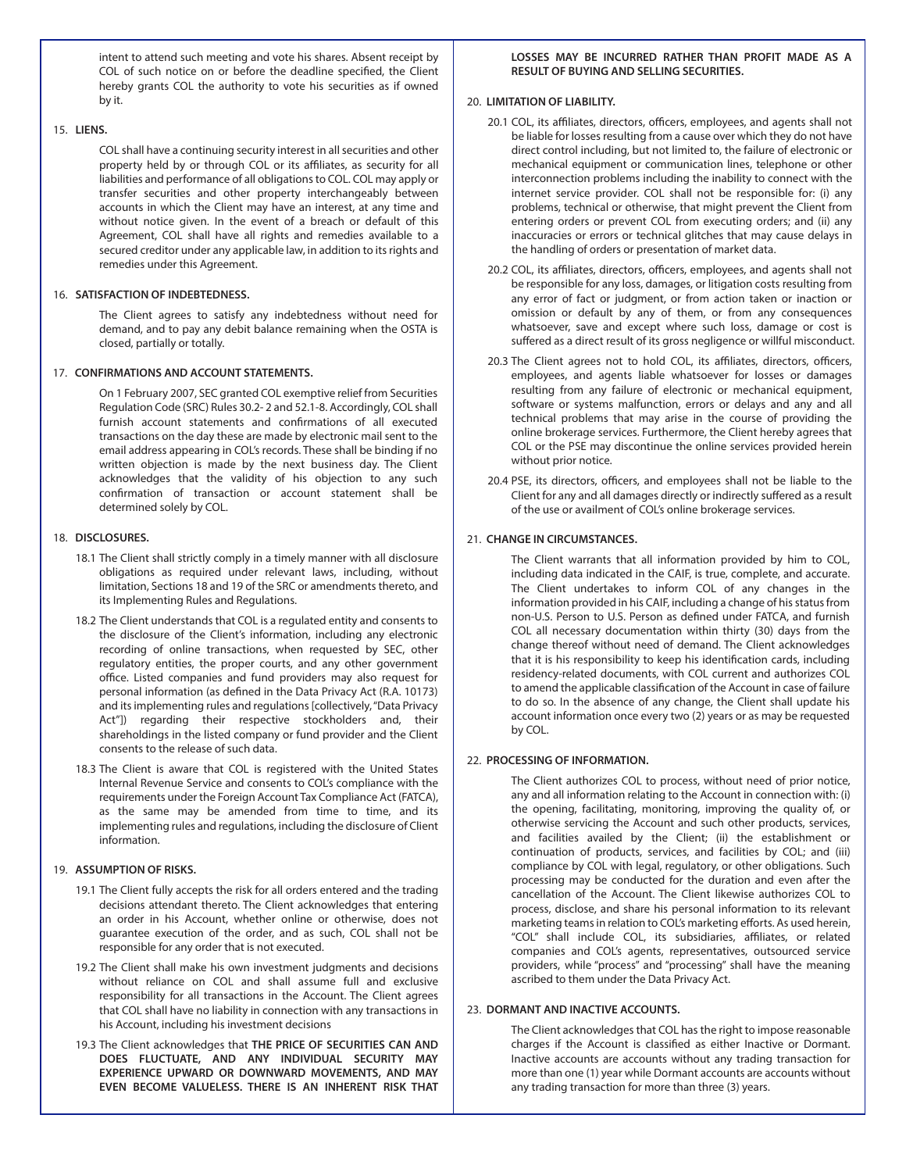intent to attend such meeting and vote his shares. Absent receipt by COL of such notice on or before the deadline specified, the Client hereby grants COL the authority to vote his securities as if owned by it.

## 15. **LIENS.**

COL shall have a continuing security interest in all securities and other property held by or through COL or its affiliates, as security for all liabilities and performance of all obligations to COL. COL may apply or transfer securities and other property interchangeably between accounts in which the Client may have an interest, at any time and without notice given. In the event of a breach or default of this Agreement, COL shall have all rights and remedies available to a secured creditor under any applicable law, in addition to its rights and remedies under this Agreement.

## 16. **SATISFACTION OF INDEBTEDNESS.**

The Client agrees to satisfy any indebtedness without need for demand, and to pay any debit balance remaining when the OSTA is closed, partially or totally.

## 17. **CONFIRMATIONS AND ACCOUNT STATEMENTS.**

On 1 February 2007, SEC granted COL exemptive relief from Securities Regulation Code (SRC) Rules 30.2- 2 and 52.1-8. Accordingly, COL shall furnish account statements and confirmations of all executed transactions on the day these are made by electronic mail sent to the email address appearing in COL's records. These shall be binding if no written objection is made by the next business day. The Client acknowledges that the validity of his objection to any such confirmation of transaction or account statement shall be determined solely by COL.

### 18. **DISCLOSURES.**

- 18.1 The Client shall strictly comply in a timely manner with all disclosure obligations as required under relevant laws, including, without limitation, Sections 18 and 19 of the SRC or amendments thereto, and its Implementing Rules and Regulations.
- 18.2 The Client understands that COL is a regulated entity and consents to the disclosure of the Client's information, including any electronic recording of online transactions, when requested by SEC, other regulatory entities, the proper courts, and any other government office. Listed companies and fund providers may also request for personal information (as defined in the Data Privacy Act (R.A. 10173) and its implementing rules and regulations [collectively, "Data Privacy Act"]) regarding their respective stockholders and, their shareholdings in the listed company or fund provider and the Client consents to the release of such data.
- 18.3 The Client is aware that COL is registered with the United States Internal Revenue Service and consents to COL's compliance with the requirements under the Foreign Account Tax Compliance Act (FATCA), as the same may be amended from time to time, and its implementing rules and regulations, including the disclosure of Client information.

#### 19. **ASSUMPTION OF RISKS.**

- 19.1 The Client fully accepts the risk for all orders entered and the trading decisions attendant thereto. The Client acknowledges that entering an order in his Account, whether online or otherwise, does not guarantee execution of the order, and as such, COL shall not be responsible for any order that is not executed.
- 19.2 The Client shall make his own investment judgments and decisions without reliance on COL and shall assume full and exclusive responsibility for all transactions in the Account. The Client agrees that COL shall have no liability in connection with any transactions in his Account, including his investment decisions
- 19.3 The Client acknowledges that **THE PRICE OF SECURITIES CAN AND DOES FLUCTUATE, AND ANY INDIVIDUAL SECURITY MAY EXPERIENCE UPWARD OR DOWNWARD MOVEMENTS, AND MAY EVEN BECOME VALUELESS. THERE IS AN INHERENT RISK THAT**

## **LOSSES MAY BE INCURRED RATHER THAN PROFIT MADE AS A RESULT OF BUYING AND SELLING SECURITIES.**

#### 20. **LIMITATION OF LIABILITY.**

- 20.1 COL, its affiliates, directors, officers, employees, and agents shall not be liable for losses resulting from a cause over which they do not have direct control including, but not limited to, the failure of electronic or mechanical equipment or communication lines, telephone or other interconnection problems including the inability to connect with the internet service provider. COL shall not be responsible for: (i) any problems, technical or otherwise, that might prevent the Client from entering orders or prevent COL from executing orders; and (ii) any inaccuracies or errors or technical glitches that may cause delays in the handling of orders or presentation of market data.
- 20.2 COL, its affiliates, directors, officers, employees, and agents shall not be responsible for any loss, damages, or litigation costs resulting from any error of fact or judgment, or from action taken or inaction or omission or default by any of them, or from any consequences whatsoever, save and except where such loss, damage or cost is suffered as a direct result of its gross negligence or willful misconduct.
- 20.3 The Client agrees not to hold COL, its affiliates, directors, officers, employees, and agents liable whatsoever for losses or damages resulting from any failure of electronic or mechanical equipment, software or systems malfunction, errors or delays and any and all technical problems that may arise in the course of providing the online brokerage services. Furthermore, the Client hereby agrees that COL or the PSE may discontinue the online services provided herein without prior notice.
- 20.4 PSE, its directors, officers, and employees shall not be liable to the Client for any and all damages directly or indirectly suffered as a result of the use or availment of COL's online brokerage services.

## 21. **CHANGE IN CIRCUMSTANCES.**

The Client warrants that all information provided by him to COL, including data indicated in the CAIF, is true, complete, and accurate. The Client undertakes to inform COL of any changes in the information provided in his CAIF, including a change of his status from non-U.S. Person to U.S. Person as defined under FATCA, and furnish COL all necessary documentation within thirty (30) days from the change thereof without need of demand. The Client acknowledges that it is his responsibility to keep his identification cards, including residency-related documents, with COL current and authorizes COL to amend the applicable classification of the Account in case of failure to do so. In the absence of any change, the Client shall update his account information once every two (2) years or as may be requested by COL.

#### 22. **PROCESSING OF INFORMATION.**

The Client authorizes COL to process, without need of prior notice, any and all information relating to the Account in connection with: (i) the opening, facilitating, monitoring, improving the quality of, or otherwise servicing the Account and such other products, services, and facilities availed by the Client; (ii) the establishment or continuation of products, services, and facilities by COL; and (iii) compliance by COL with legal, regulatory, or other obligations. Such processing may be conducted for the duration and even after the cancellation of the Account. The Client likewise authorizes COL to process, disclose, and share his personal information to its relevant marketing teams in relation to COL's marketing efforts. As used herein, "COL" shall include COL, its subsidiaries, affiliates, or related companies and COL's agents, representatives, outsourced service providers, while "process" and "processing" shall have the meaning ascribed to them under the Data Privacy Act.

#### 23. **DORMANT AND INACTIVE ACCOUNTS.**

The Client acknowledges that COL has the right to impose reasonable charges if the Account is classified as either Inactive or Dormant. Inactive accounts are accounts without any trading transaction for more than one (1) year while Dormant accounts are accounts without any trading transaction for more than three (3) years.